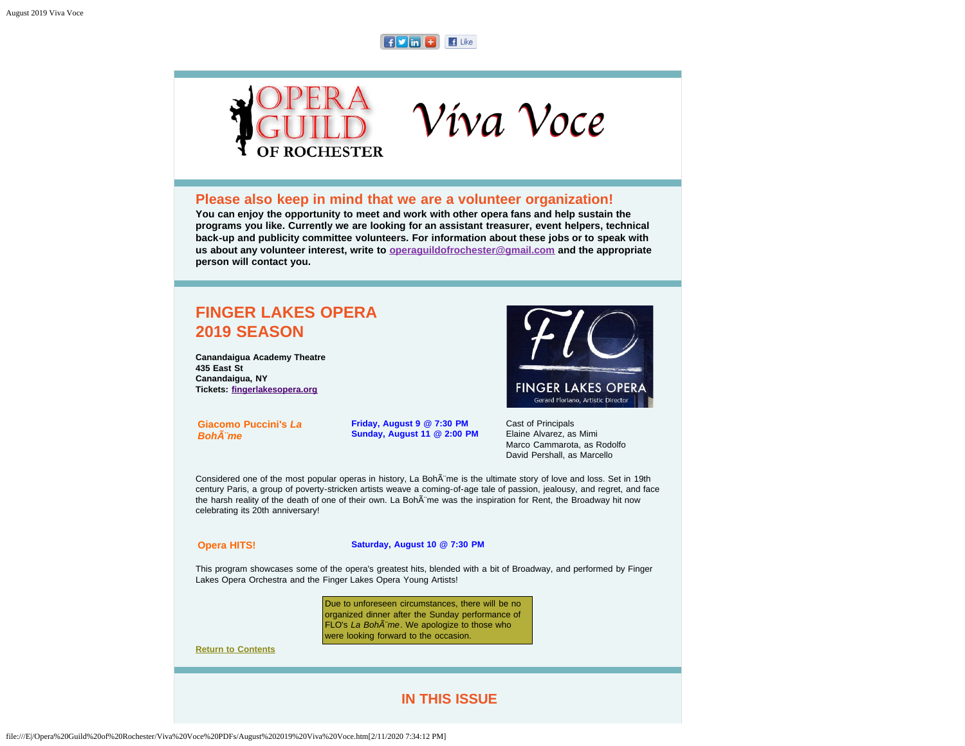## $F \cup \text{Im} F$   $F$  Like



## **Please also keep in mind that we are a volunteer organization!**

**You can enjoy the opportunity to meet and work with other opera fans and help sustain the programs you like. Currently we are looking for an assistant treasurer, event helpers, technical back-up and publicity committee volunteers. For information about these jobs or to speak with us about any volunteer interest, write to [operaguildofrochester@gmail.com](mailto:operaguildofrochester@gmail.com) and the appropriate person will contact you.**

## <span id="page-0-1"></span>**FINGER LAKES OPERA 2019 SEASON**

**Canandaigua Academy Theatre 435 East St Canandaigua, NY Tickets: [fingerlakesopera.org](http://www.fingerlakesopera.org/)**

**FINGER LAKES OPERA** Gerard Floriano, Artistic Director

**Giacomo Puccini's** *La Bohème*

**Friday, August 9 @ 7:30 PM Sunday, August 11 @ 2:00 PM** Cast of Principals Elaine Alvarez, as Mimi Marco Cammarota, as Rodolfo David Pershall, as Marcello

Considered one of the most popular operas in history, La Boh me is the ultimate story of love and loss. Set in 19th century Paris, a group of poverty-stricken artists weave a coming-of-age tale of passion, jealousy, and regret, and face the harsh reality of the death of one of their own. La Boh me was the inspiration for Rent, the Broadway hit now celebrating its 20th anniversary!

**Opera HITS! Saturday, August 10 @ 7:30 PM**

This program showcases some of the opera's greatest hits, blended with a bit of Broadway, and performed by Finger Lakes Opera Orchestra and the Finger Lakes Opera Young Artists!

> Due to unforeseen circumstances, there will be no organized dinner after the Sunday performance of FLO's *La Boh*<sup>A"</sup>me. We apologize to those who were looking forward to the occasion.

<span id="page-0-0"></span>**[Return to Contents](#page-0-0)**

## **IN THIS ISSUE**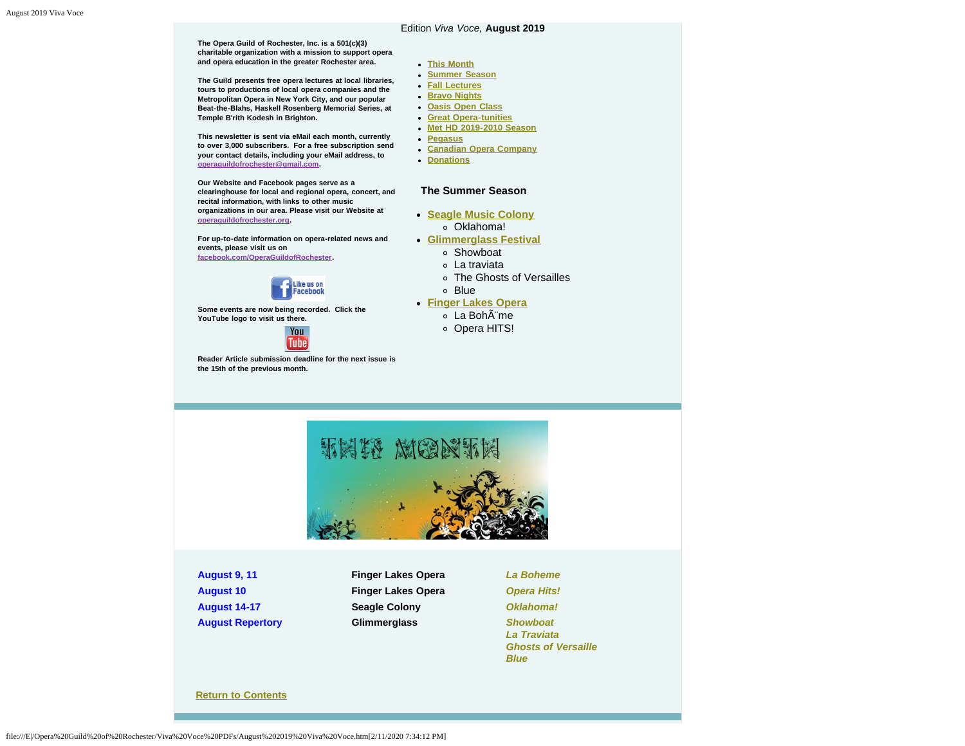#### Edition *Viva Voce,* **August 2019**

**The Opera Guild of Rochester, Inc. is a 501(c)(3) charitable organization with a mission to support opera and opera education in the greater Rochester area. The Guild presents free opera lectures at local libraries,**

**tours to productions of local opera companies and the Metropolitan Opera in New York City, and our popular Beat-the-Blahs, Haskell Rosenberg Memorial Series, at Temple B'rith Kodesh in Brighton.**

**This newsletter is sent via eMail each month, currently to over 3,000 subscribers. For a free subscription send your contact details, including your eMail address, to [operaguildofrochester@gmail.com](mailto:operaguildofrochester@gmail.com).**

**Our Website and Facebook pages serve as a clearinghouse for local and regional opera, concert, and recital information, with links to other music organizations in our area. Please visit our Website at [operaguildofrochester.org](http://operaguildofrochester.org/).**

**For up-to-date information on opera-related news and events, please visit us on [facebook.com/OperaGuildofRochester](http://facebook.com/OperaGuildofRochester).**



**Some events are now being recorded. Click the YouTube logo to visit us there.**



<span id="page-1-0"></span>**Reader Article submission deadline for the next issue is the 15th of the previous month.**

#### **[This Month](#page-1-0)**

- **[Summer Season](#page-2-0)**
- **[Fall Lectures](#page-3-0)**
- **[Bravo Nights](#page-4-0)**
- **[Oasis Open Class](#page-4-1)**
- **[Great Opera-tunities](#page-8-0)**
- **[Met HD 2019-2010 Season](#page-5-0)**
- **[Pegasus](#page-6-0)**
- **[Canadian Opera Company](#page-7-0)**
- **•** [Donations](#page-8-1)

#### **The Summer Season**

- **[Seagle Music Colony](#page-2-1)** Oklahoma!
	-
- **[Glimmerglass Festival](#page-2-2)**
	- Showboat
	- La traviata
	- The Ghosts of Versailles
	- Blue

#### **[Finger Lakes Opera](#page-0-1)**

- ∘ La Bohème
- o Opera HITS!



**August 9, 11 Finger Lakes Opera** *[La Boheme](#page-0-1)*

**August 10 Finger Lakes Opera** *[Opera Hits!](#page-0-1)* **August 14-17 Seagle Colony** *[Oklahoma!](#page-2-1)* **August Repertory Glimmerglass** *[Showboat](#page-2-2)*

*[La Traviata](#page-2-2) [Ghosts of Versaille](#page-2-2) [Blue](#page-2-2)*

#### **[Return to Contents](#page-0-0)**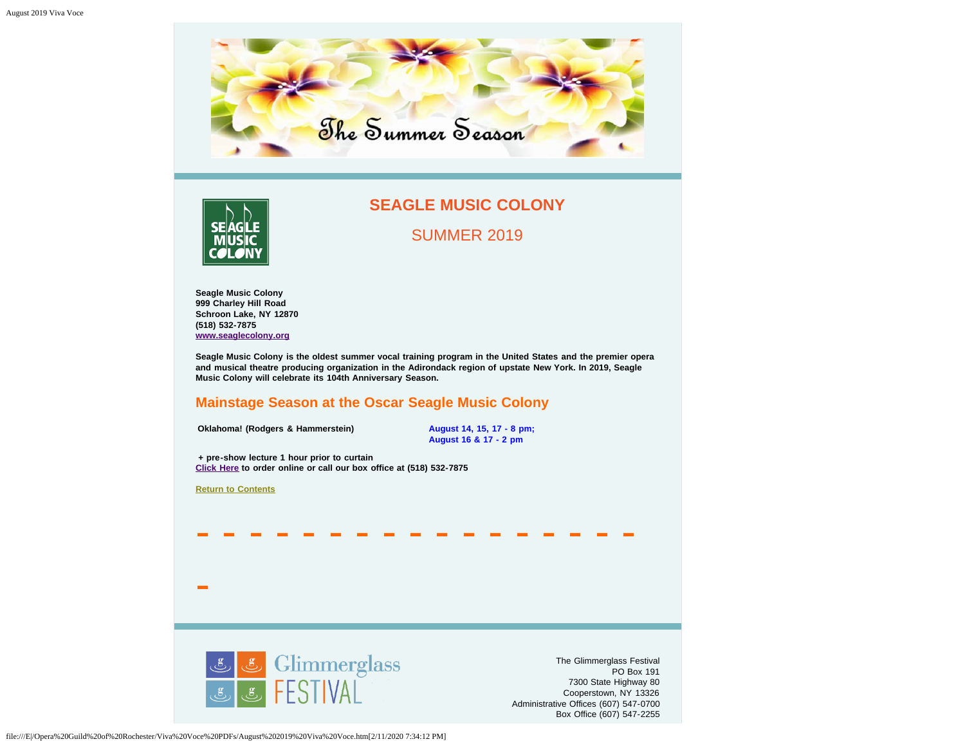<span id="page-2-0"></span>

<span id="page-2-1"></span>

## **SEAGLE MUSIC COLONY**

SUMMER 2019

**Seagle Music Colony 999 Charley Hill Road Schroon Lake, NY 12870 (518) 532-7875 [www.seaglecolony.org](http://www.seaglecolony.org/)**

**Seagle Music Colony is the oldest summer vocal training program in the United States and the premier opera and musical theatre producing organization in the Adirondack region of upstate New York. In 2019, Seagle Music Colony will celebrate its 104th Anniversary Season.**

- - - - - - - - - - - - - - - - -

## **Mainstage Season at the Oscar Seagle Music Colony**

**Oklahoma! (Rodgers & Hammerstein) August 14, 15, 17 - 8 pm;** 

**August 16 & 17 - 2 pm**

**+ pre-show lecture 1 hour prior to curtain [Click Here](https://seaglecolony.tix.com/schedule.aspx?orgnum=5439) to order online or call our box office at (518) 532-7875**

**[Return to Contents](#page-0-0)**

-

<span id="page-2-2"></span>Glimmerglass<br>FESTIVAL

The Glimmerglass Festival PO Box 191 7300 State Highway 80 Cooperstown, NY 13326 Administrative Offices (607) 547-0700 Box Office (607) 547-2255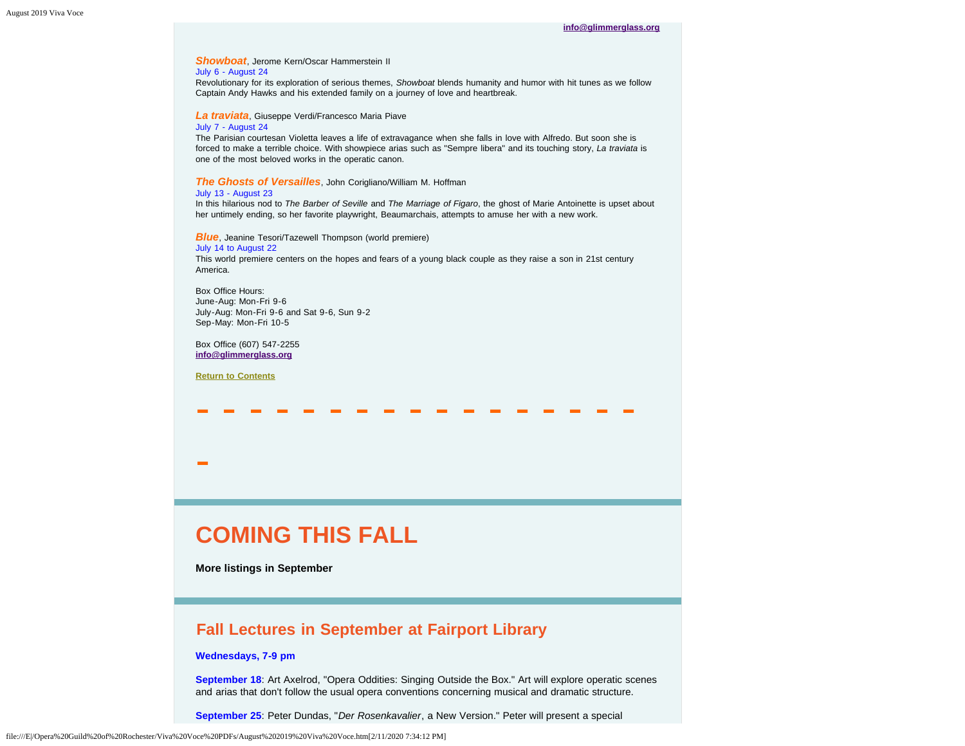## *Showboat*, Jerome Kern/Oscar Hammerstein II

#### July 6 - August 24

Revolutionary for its exploration of serious themes, *Showboat* blends humanity and humor with hit tunes as we follow Captain Andy Hawks and his extended family on a journey of love and heartbreak.

*La traviata*, Giuseppe Verdi/Francesco Maria Piave

#### July 7 - August 24

The Parisian courtesan Violetta leaves a life of extravagance when she falls in love with Alfredo. But soon she is forced to make a terrible choice. With showpiece arias such as "Sempre libera" and its touching story, *La traviata* is one of the most beloved works in the operatic canon.

#### *The Ghosts of Versailles*, John Corigliano/William M. Hoffman

#### July 13 - August 23

In this hilarious nod to *The Barber of Seville* and *The Marriage of Figaro*, the ghost of Marie Antoinette is upset about her untimely ending, so her favorite playwright, Beaumarchais, attempts to amuse her with a new work.

*Blue*, Jeanine Tesori/Tazewell Thompson (world premiere)

#### July 14 to August 22

This world premiere centers on the hopes and fears of a young black couple as they raise a son in 21st century America.

- - - - - - - - - - - - - - - - -

Box Office Hours: June-Aug: Mon-Fri 9-6 July-Aug: Mon-Fri 9-6 and Sat 9-6, Sun 9-2 Sep-May: Mon-Fri 10-5

Box Office (607) 547-2255 **[info@glimmerglass.org](mailto:info@glimmerglass.org)**

**[Return to Contents](#page-0-0)**

-

## **COMING THIS FALL**

**More listings in September**

## <span id="page-3-0"></span>**Fall Lectures in September at Fairport Library**

#### **Wednesdays, 7-9 pm**

**September 18**: Art Axelrod, "Opera Oddities: Singing Outside the Box." Art will explore operatic scenes and arias that don't follow the usual opera conventions concerning musical and dramatic structure.

**September 25**: Peter Dundas, "*Der Rosenkavalier*, a New Version." Peter will present a special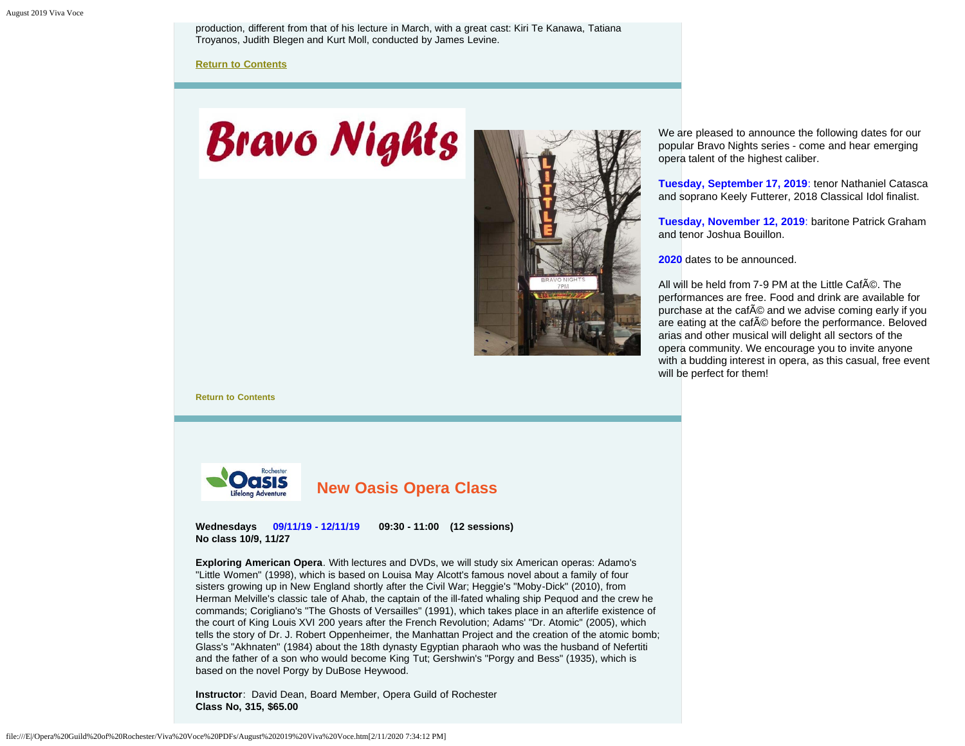production, different from that of his lecture in March, with a great cast: Kiri Te Kanawa, Tatiana Troyanos, Judith Blegen and Kurt Moll, conducted by James Levine.

**[Return to Contents](#page-0-0)**

# <span id="page-4-0"></span>**Bravo Nights**



We are pleased to announce the following dates for our popular Bravo Nights series - come and hear emerging opera talent of the highest caliber.

**Tuesday, September 17, 2019**: tenor Nathaniel Catasca and soprano Keely Futterer, 2018 Classical Idol finalist.

**Tuesday, November 12, 2019**: baritone Patrick Graham and tenor Joshua Bouillon.

**2020** dates to be announced.

All will be held from 7-9 PM at the Little CafA ©. The performances are free. Food and drink are available for purchase at the cafA © and we advise coming early if you are eating at the cafAC before the performance. Beloved arias and other musical will delight all sectors of the opera community. We encourage you to invite anyone with a budding interest in opera, as this casual, free event will be perfect for them!

**[Return to Contents](#page-0-0)**

<span id="page-4-1"></span>

**Wednesdays 09/11/19 - 12/11/19 09:30 - 11:00 (12 sessions) No class 10/9, 11/27**

**Exploring American Opera**. With lectures and DVDs, we will study six American operas: Adamo's "Little Women" (1998), which is based on Louisa May Alcott's famous novel about a family of four sisters growing up in New England shortly after the Civil War; Heggie's "Moby-Dick" (2010), from Herman Melville's classic tale of Ahab, the captain of the ill-fated whaling ship Pequod and the crew he commands; Corigliano's "The Ghosts of Versailles" (1991), which takes place in an afterlife existence of the court of King Louis XVI 200 years after the French Revolution; Adams' "Dr. Atomic" (2005), which tells the story of Dr. J. Robert Oppenheimer, the Manhattan Project and the creation of the atomic bomb; Glass's "Akhnaten" (1984) about the 18th dynasty Egyptian pharaoh who was the husband of Nefertiti and the father of a son who would become King Tut; Gershwin's "Porgy and Bess" (1935), which is based on the novel Porgy by DuBose Heywood.

**Instructor**: David Dean, Board Member, Opera Guild of Rochester **Class No, 315, \$65.00**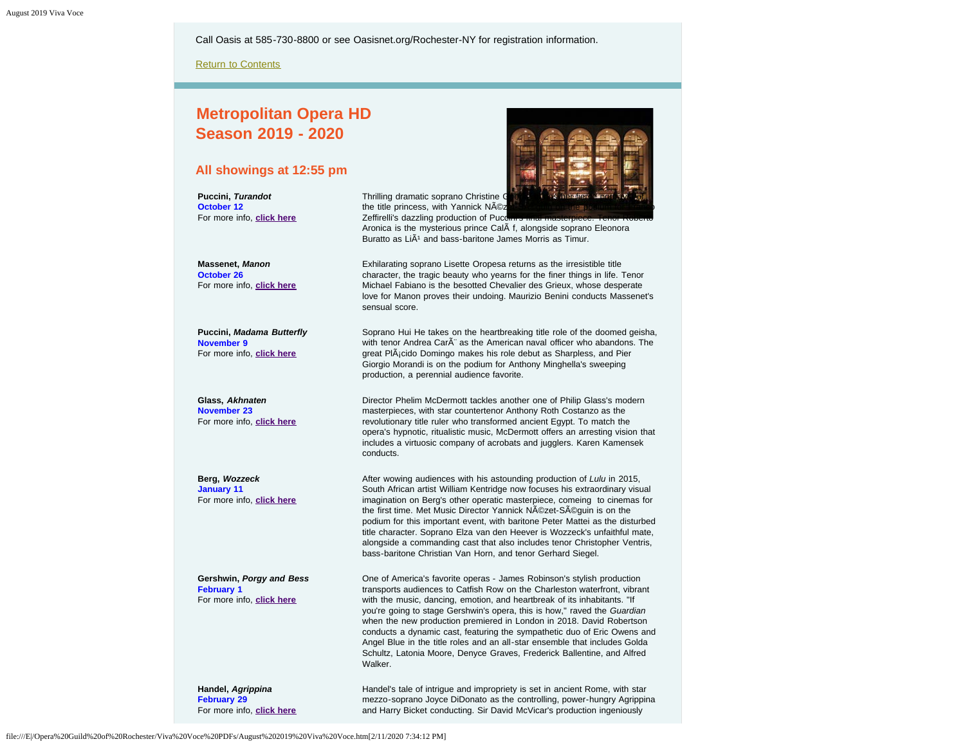Call Oasis at 585-730-8800 or see Oasisnet.org/Rochester-NY for registration information.

[Return to Contents](#page-0-0)

## <span id="page-5-0"></span>**Metropolitan Opera HD Season 2019 - 2020**

#### **All showings at 12:55 pm**

**Puccini,** *Turandot*  **October 12**  For more info, **[click here](https://www.metopera.org/season/in-cinemas/2019-20-season/turandot-live-in-hd/)**

**Massenet,** *Manon*  **October 26**  For more info, **[click here](https://www.metopera.org/season/in-cinemas/2019-20-season/manon-live-in-hd/)**

**Puccini,** *Madama Butterfly*  **November 9** For more info, **[click here](https://www.metopera.org/season/in-cinemas/2019-20-season/madama-butterfly-live-in-hd/)**

**Glass,** *Akhnaten* **November 23**  For more info, **[click here](https://www.metopera.org/season/in-cinemas/2019-20-season/akhnaten-live-in-hd/)**

**Berg,** *Wozzeck*  **January 11**  For more info, **[click here](https://www.metopera.org/season/in-cinemas/2019-20-season/wozzeck-live-in-hd/)**

**Gershwin,** *Porgy and Bess* **February 1**  For more info, **[click here](https://www.metopera.org/season/in-cinemas/2019-20-season/porgy-and-bess-live-in-hd/)**

Thrilling dramatic soprano Christine the title princess, with Yannick NÃO: Zeffirelli's dazzling production of Pucci



Aronica is the mysterious prince CalÃ f, alongside soprano Eleonora Buratto as Li $\tilde{A}$ <sup>1</sup> and bass-baritone James Morris as Timur. Exhilarating soprano Lisette Oropesa returns as the irresistible title

character, the tragic beauty who yearns for the finer things in life. Tenor Michael Fabiano is the besotted Chevalier des Grieux, whose desperate love for Manon proves their undoing. Maurizio Benini conducts Massenet's sensual score.

Soprano Hui He takes on the heartbreaking title role of the doomed geisha, with tenor Andrea CarÂ" as the American naval officer who abandons. The great PlÂ<sub>i</sub>cido Domingo makes his role debut as Sharpless, and Pier Giorgio Morandi is on the podium for Anthony Minghella's sweeping production, a perennial audience favorite.

Director Phelim McDermott tackles another one of Philip Glass's modern masterpieces, with star countertenor Anthony Roth Costanzo as the revolutionary title ruler who transformed ancient Egypt. To match the opera's hypnotic, ritualistic music, McDermott offers an arresting vision that includes a virtuosic company of acrobats and jugglers. Karen Kamensek conducts.

After wowing audiences with his astounding production of *Lulu* in 2015, South African artist William Kentridge now focuses his extraordinary visual imagination on Berg's other operatic masterpiece, comeing to cinemas for the first time. Met Music Director Yannick Nézet-Séquin is on the podium for this important event, with baritone Peter Mattei as the disturbed title character. Soprano Elza van den Heever is Wozzeck's unfaithful mate, alongside a commanding cast that also includes tenor Christopher Ventris, bass-baritone Christian Van Horn, and tenor Gerhard Siegel.

One of America's favorite operas - James Robinson's stylish production transports audiences to Catfish Row on the Charleston waterfront, vibrant with the music, dancing, emotion, and heartbreak of its inhabitants. "If you're going to stage Gershwin's opera, this is how," raved the *Guardian* when the new production premiered in London in 2018. David Robertson conducts a dynamic cast, featuring the sympathetic duo of Eric Owens and Angel Blue in the title roles and an all-star ensemble that includes Golda Schultz, Latonia Moore, Denyce Graves, Frederick Ballentine, and Alfred Walker.

**Handel,** *Agrippina*  **February 29**  For more info, **[click here](https://www.metopera.org/season/in-cinemas/2019-20-season/agrippina-live-in-hd/)** Handel's tale of intrigue and impropriety is set in ancient Rome, with star mezzo-soprano Joyce DiDonato as the controlling, power-hungry Agrippina and Harry Bicket conducting. Sir David McVicar's production ingeniously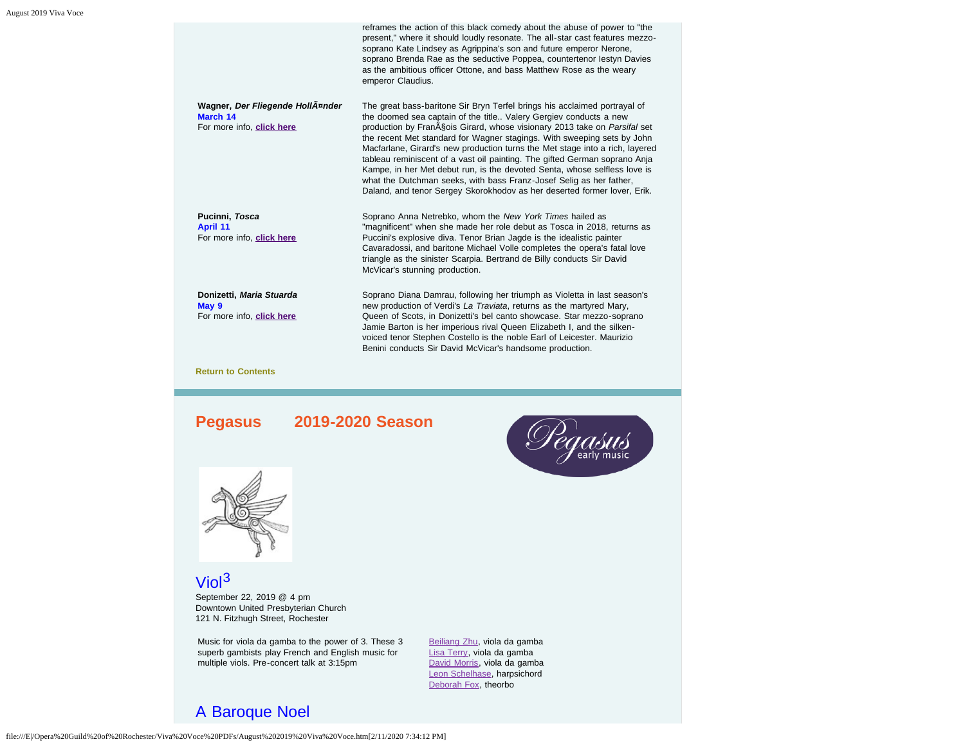|                                                                           | reframes the action of this black comedy about the abuse of power to "the<br>present," where it should loudly resonate. The all-star cast features mezzo-<br>soprano Kate Lindsey as Agrippina's son and future emperor Nerone,<br>soprano Brenda Rae as the seductive Poppea, countertenor lestyn Davies<br>as the ambitious officer Ottone, and bass Matthew Rose as the weary<br>emperor Claudius.                                                                                                                                                                                                                                                                                               |
|---------------------------------------------------------------------------|-----------------------------------------------------------------------------------------------------------------------------------------------------------------------------------------------------------------------------------------------------------------------------------------------------------------------------------------------------------------------------------------------------------------------------------------------------------------------------------------------------------------------------------------------------------------------------------------------------------------------------------------------------------------------------------------------------|
| Wagner, Der Fliegende HollAnnder<br>March 14<br>For more info, click here | The great bass-baritone Sir Bryn Terfel brings his acclaimed portrayal of<br>the doomed sea captain of the title Valery Gergiev conducts a new<br>production by Fran§ois Girard, whose visionary 2013 take on Parsifal set<br>the recent Met standard for Wagner stagings. With sweeping sets by John<br>Macfarlane, Girard's new production turns the Met stage into a rich, layered<br>tableau reminiscent of a vast oil painting. The gifted German soprano Anja<br>Kampe, in her Met debut run, is the devoted Senta, whose selfless love is<br>what the Dutchman seeks, with bass Franz-Josef Selig as her father,<br>Daland, and tenor Sergey Skorokhodov as her deserted former lover, Erik. |
| Pucinni, Tosca<br>April 11<br>For more info, click here                   | Soprano Anna Netrebko, whom the New York Times hailed as<br>"magnificent" when she made her role debut as Tosca in 2018, returns as<br>Puccini's explosive diva. Tenor Brian Jagde is the idealistic painter<br>Cavaradossi, and baritone Michael Volle completes the opera's fatal love<br>triangle as the sinister Scarpia. Bertrand de Billy conducts Sir David<br>McVicar's stunning production.                                                                                                                                                                                                                                                                                                |
| Donizetti, Maria Stuarda<br>May 9<br>For more info, click here            | Soprano Diana Damrau, following her triumph as Violetta in last season's<br>new production of Verdi's La Traviata, returns as the martyred Mary,<br>Queen of Scots, in Donizetti's bel canto showcase. Star mezzo-soprano<br>Jamie Barton is her imperious rival Queen Elizabeth I, and the silken-<br>voiced tenor Stephen Costello is the noble Earl of Leicester. Maurizio<br>Benini conducts Sir David McVicar's handsome production.                                                                                                                                                                                                                                                           |
| <b>Return to Contents</b>                                                 |                                                                                                                                                                                                                                                                                                                                                                                                                                                                                                                                                                                                                                                                                                     |

## <span id="page-6-0"></span>**Pegasus 2019-2020 Season**





# Viol<sup>3</sup>

September 22, 2019 @ 4 pm Downtown United Presbyterian Church 121 N. Fitzhugh Street, Rochester

Music for viola da gamba to the power of 3. These 3 superb gambists play French and English music for multiple viols. Pre-concert talk at 3:15pm

[Beiliang Zhu](https://www.pegasusearlymusic.org/artist/beiliang-zhu/), viola da gamba [Lisa Terry](https://www.pegasusearlymusic.org/artist/lisa-terry/), viola da gamba [David Morris,](https://www.pegasusearlymusic.org/artist/david-morris/) viola da gamba [Leon Schelhase](https://www.pegasusearlymusic.org/artist/leon-schelhase/), harpsichord [Deborah Fox,](https://www.pegasusearlymusic.org/artist/deborah-fox/) theorbo

## A Baroque Noel

file:///E|/Opera%20Guild%20of%20Rochester/Viva%20Voce%20PDFs/August%202019%20Viva%20Voce.htm[2/11/2020 7:34:12 PM]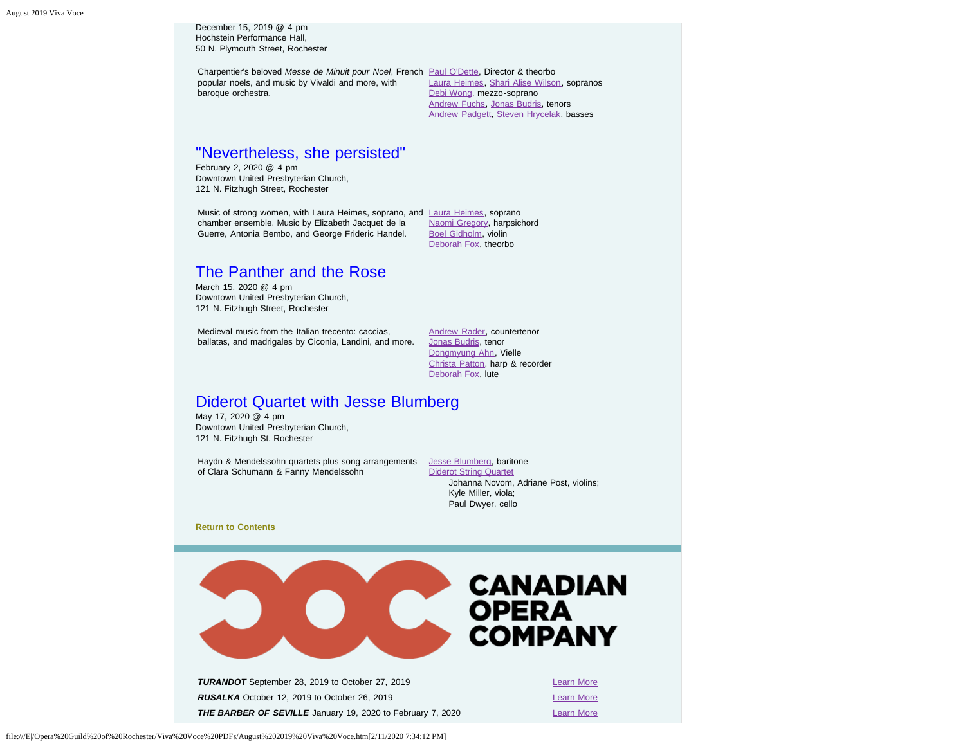December 15, 2019 @ 4 pm Hochstein Performance Hall, 50 N. Plymouth Street, Rochester

Charpentier's beloved *Messe de Minuit pour Noel*, French [Paul O'Dette,](https://www.pegasusearlymusic.org/artist/paul-odette/) Director & theorbo popular noels, and music by Vivaldi and more, with baroque orchestra.

[Laura Heimes](https://www.pegasusearlymusic.org/artist/laura-heimes-2/), [Shari Alise Wilson,](https://www.pegasusearlymusic.org/artist/shari-alise-wilson/) sopranos [Debi Wong,](https://www.pegasusearlymusic.org/artist/debi-wong/) mezzo-soprano [Andrew Fuchs](https://www.pegasusearlymusic.org/artist/andrew-fuchs/), [Jonas Budris,](https://www.pegasusearlymusic.org/artist/jonas-budris/) tenors [Andrew Padgett](https://www.pegasusearlymusic.org/artist/andrew-padgett/), [Steven Hrycelak](https://www.pegasusearlymusic.org/artist/steven-hrycelak/), basses

## "Nevertheless, she persisted"

February 2, 2020 @ 4 pm Downtown United Presbyterian Church, 121 N. Fitzhugh Street, Rochester

Music of strong women, with [Laura Heimes](https://www.pegasusearlymusic.org/artist/laura-heimes-2/), soprano, and Laura Heimes, soprano chamber ensemble. Music by Elizabeth Jacquet de la Guerre, Antonia Bembo, and George Frideric Handel.

[Naomi Gregory,](https://www.pegasusearlymusic.org/artist/naomi-gregory/) harpsichord [Boel Gidholm,](https://www.pegasusearlymusic.org/artist/boel-gidholm/) violin [Deborah Fox,](https://www.pegasusearlymusic.org/artist/deborah-fox/) theorbo

## The Panther and the Rose

March 15, 2020 @ 4 pm Downtown United Presbyterian Church, 121 N. Fitzhugh Street, Rochester

Medieval music from the Italian trecento: caccias, ballatas, and madrigales by Ciconia, Landini, and more.

[Andrew Rader](https://www.pegasusearlymusic.org/artist/andrew-rader/), countertenor [Jonas Budris,](https://www.pegasusearlymusic.org/artist/jonas-budris/) tenor [Dongmyung Ahn](https://www.pegasusearlymusic.org/artist/dongmyung-ahn/), Vielle [Christa Patton,](https://www.pegasusearlymusic.org/artist/christa-patton/) harp & recorder [Deborah Fox,](https://www.pegasusearlymusic.org/artist/deborah-fox/) lute

## Diderot Quartet with Jesse Blumberg

May 17, 2020 @ 4 pm Downtown United Presbyterian Church, 121 N. Fitzhugh St. Rochester

Haydn & Mendelssohn quartets plus song arrangements [Jesse Blumberg](https://www.pegasusearlymusic.org/artist/jesse-blumberg/), baritone of Clara Schumann & Fanny Mendelssohn

[Diderot String Quartet](https://www.pegasusearlymusic.org/artist/diderot-string-quartet/) Johanna Novom, Adriane Post, violins; Kyle Miller, viola; Paul Dwyer, cello

**[Return to Contents](#page-0-0)**



<span id="page-7-0"></span>**TURANDOT** September 28, 2019 to October 27, 2019 **[Learn More](https://www.coc.ca/productions/18680)** Learn More **RUSALKA** October 12, 2019 to October 26, 2019 **[Learn More](https://www.coc.ca/productions/18705) THE BARBER OF SEVILLE** January 19, 2020 to February 7, 2020 **[Learn More](https://www.coc.ca/productions/18712)**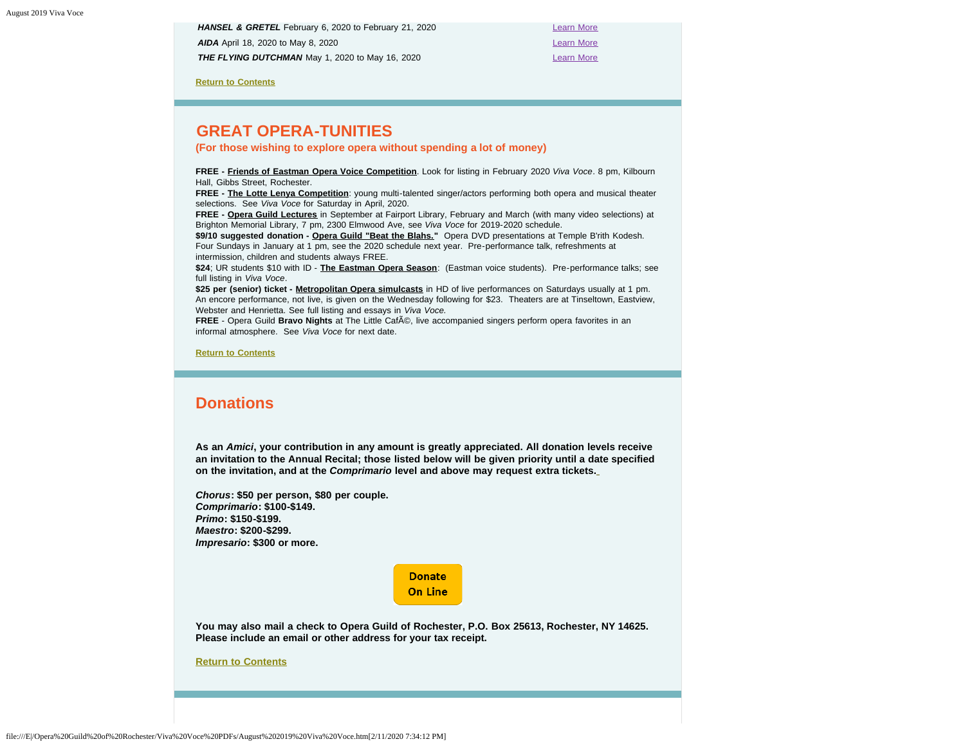**HANSEL & GRETEL** February 6, 2020 to February 21, 2020 *AIDA* April 18, 2020 to May 8, 2020 **[Learn More](https://www.coc.ca/productions/18731) Learn More THE FLYING DUTCHMAN** May 1, 2020 to May 16, 2020

**[Return to Contents](#page-0-0)**

## <span id="page-8-0"></span>**GREAT OPERA-TUNITIES**

**(For those wishing to explore opera without spending a lot of money)**

**FREE - Friends of Eastman Opera Voice Competition**. Look for listing in February 2020 *Viva Voce*. 8 pm, Kilbourn Hall, Gibbs Street, Rochester.

**FREE - The Lotte Lenya Competition**: young multi-talented singer/actors performing both opera and musical theater selections. See *Viva Voce* for Saturday in April, 2020.

**FREE - Opera Guild Lectures** in September at Fairport Library, February and March (with many video selections) at Brighton Memorial Library, 7 pm, 2300 Elmwood Ave, see *Viva Voce* for 2019-2020 schedule.

**\$9/10 suggested donation - Opera Guild "Beat the Blahs."** Opera DVD presentations at Temple B'rith Kodesh. Four Sundays in January at 1 pm, see the 2020 schedule next year. Pre-performance talk, refreshments at intermission, children and students always FREE.

**\$24**; UR students \$10 with ID - **The Eastman Opera Season**: (Eastman voice students). Pre-performance talks; see full listing in *Viva Voce*.

**\$25 per (senior) ticket - Metropolitan Opera simulcasts** in HD of live performances on Saturdays usually at 1 pm. An encore performance, not live, is given on the Wednesday following for \$23. Theaters are at Tinseltown, Eastview, Webster and Henrietta. See full listing and essays in *Viva Voce.*

**FREE** - Opera Guild Bravo Nights at The Little Caf©, live accompanied singers perform opera favorites in an informal atmosphere. See *Viva Voce* for next date.

**[Return to Contents](#page-0-0)**

## <span id="page-8-1"></span>**Donations**

**As an** *Amici***, your contribution in any amount is greatly appreciated. All donation levels receive an invitation to the Annual Recital; those listed below will be given priority until a date specified on the invitation, and at the** *Comprimario* **level and above may request extra tickets.**

*Chorus***: \$50 per person, \$80 per couple.** *Comprimario***: \$100-\$149.** *Primo***: \$150-\$199.** *Maestro***: \$200-\$299.** *Impresario***: \$300 or more.**

> **Donate On Line**

**You may also mail a check to Opera Guild of Rochester, P.O. Box 25613, Rochester, NY 14625. Please include an email or other address for your tax receipt.**

**[Return to Contents](#page-0-0)**